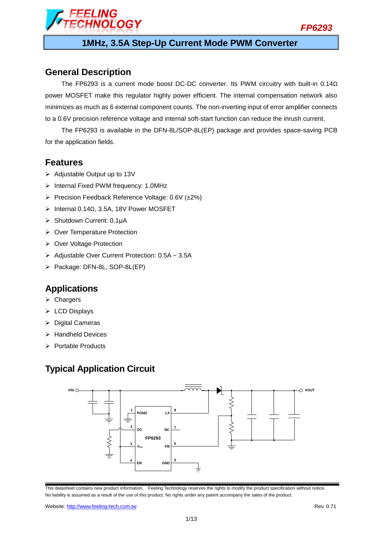

# FI ING **VOLOGY**

## **1MHz, 3.5A Step-Up Current Mode PWM Converter**

## **General Description**

The FP6293 is a current mode boost DC-DC converter. Its PWM circuitry with built-in 0.14Ω power MOSFET make this regulator highly power efficient. The internal compensation network also minimizes as much as 6 external component counts. The non-inverting input of error amplifier connects to a 0.6V precision reference voltage and internal soft-start function can reduce the inrush current.

The FP6293 is available in the DFN-8L/SOP-8L(EP) package and provides space-saving PCB for the application fields.

## **Features**

- $\triangleright$  Adjustable Output up to 13V
- $\triangleright$  Internal Fixed PWM frequency: 1.0MHz
- Precision Feedback Reference Voltage:  $0.6V$  ( $\pm 2\%$ )
- Internal 0.14Ω, 3.5A, 18V Power MOSFET
- Shutdown Current: 0.1μA
- ▶ Over Temperature Protection
- ▶ Over Voltage Protection
- > Adjustable Over Current Protection: 0.5A ~ 3.5A
- > Package: DFN-8L, SOP-8L(EP)

## **Applications**

- $\triangleright$  Chargers
- ▶ LCD Displays
- $\triangleright$  Digital Cameras
- $\triangleright$  Handheld Devices
- $\triangleright$  Portable Products

## **Typical Application Circuit**



This datasheet contains new product information. Feeling Technology reserves the rights to modify the product specification without notice. No liability is assumed as a result of the use of this product. No rights under any patent accompany the sales of the product.

Website: http://www.feeling-tech.com.tw **Rev. 0.71 Rev. 0.71**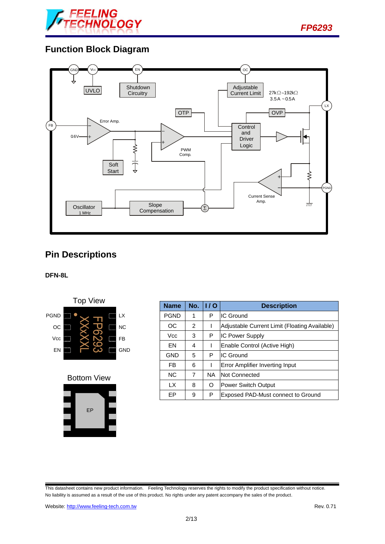

## **Function Block Diagram**



# **Pin Descriptions**

### **DFN-8L**



Bottom View



| <b>Name</b> | No. | 1/0       | <b>Description</b>                            |  |
|-------------|-----|-----------|-----------------------------------------------|--|
| <b>PGND</b> | 1   | Р         | <b>IC Ground</b>                              |  |
| OС          | 2   |           | Adjustable Current Limit (Floating Available) |  |
| <b>Vcc</b>  | 3   | Р         | <b>IC Power Supply</b>                        |  |
| EN          | 4   |           | Enable Control (Active High)                  |  |
| <b>GND</b>  | 5   | P         | IIC Ground                                    |  |
| FB          | 6   |           | <b>Error Amplifier Inverting Input</b>        |  |
| <b>NC</b>   | 7   | <b>NA</b> | Not Connected                                 |  |
| <b>LX</b>   | 8   | O         | Power Switch Output                           |  |
| ЕP          | 9   | P         | Exposed PAD-Must connect to Ground            |  |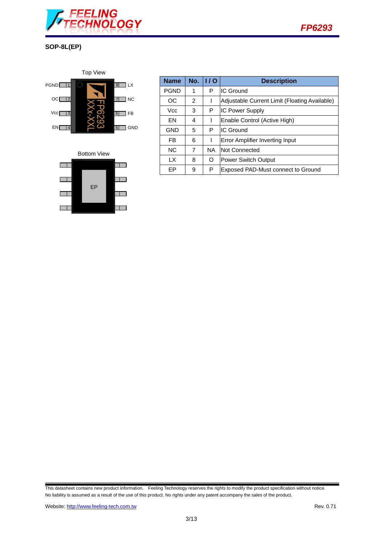







| <b>Name</b> | No.            | 1/0       | <b>Description</b>                            |  |
|-------------|----------------|-----------|-----------------------------------------------|--|
| <b>PGND</b> | 1              | P         | <b>IC Ground</b>                              |  |
| OC          | 2              |           | Adjustable Current Limit (Floating Available) |  |
| Vcc         | 3              | P         | <b>IC Power Supply</b>                        |  |
| <b>FN</b>   | 4              |           | Enable Control (Active High)                  |  |
| GND         | 5              | P         | <b>IC Ground</b>                              |  |
| FB          | 6              |           | Error Amplifier Inverting Input               |  |
| <b>NC</b>   | $\overline{7}$ | <b>NA</b> | Not Connected                                 |  |
| <b>LX</b>   | 8              | O         | <b>Power Switch Output</b>                    |  |
| FР          | 9              | Ρ         | Exposed PAD-Must connect to Ground            |  |

*FP6293*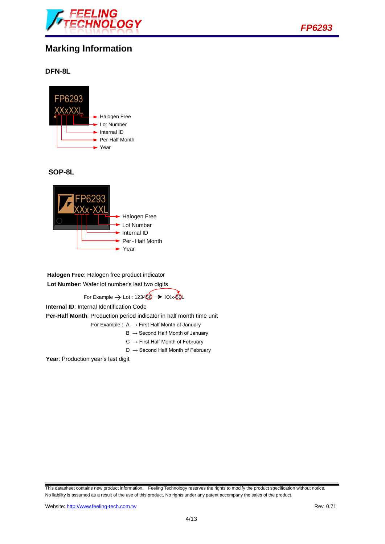



**SOP-8L**



**Halogen Free**: Halogen free product indicator **Lot Number**: Wafer lot number's last two digits

For Example  $\rightarrow$  Lot : 123466  $\rightarrow$  XXx-66L

**Internal ID**: Internal Identification Code

**Per-Half Month**: Production period indicator in half month time unit

- For Example :  $A \rightarrow$  First Half Month of January
	- $B \rightarrow$  Second Half Month of January
	- $C \rightarrow$  First Half Month of February
	- $D \rightarrow$  Second Half Month of February

Year: Production year's last digit

This datasheet contains new product information. Feeling Technology reserves the rights to modify the product specification without notice. No liability is assumed as a result of the use of this product. No rights under any patent accompany the sales of the product.

*FP6293*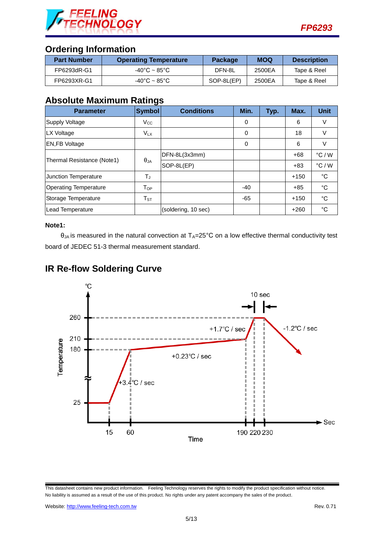

## **Ordering Information**

| <b>Part Number</b> | <b>Operating Temperature</b>      | <b>Package</b> | <b>MOQ</b> | <b>Description</b> |
|--------------------|-----------------------------------|----------------|------------|--------------------|
| FP6293dR-G1        | $-40^{\circ}$ C ~ 85 $^{\circ}$ C | DFN-8L         | 2500EA     | Tape & Reel        |
| FP6293XR-G1        | $-40^{\circ}$ C ~ 85 $^{\circ}$ C | SOP-8L(EP)     | 2500EA     | Tape & Reel        |

## **Absolute Maximum Ratings**

| <b>Parameter</b>             | <b>Symbol</b>         | <b>Conditions</b>   | Min.  | Typ. | Max.   | <b>Unit</b>     |
|------------------------------|-----------------------|---------------------|-------|------|--------|-----------------|
| Supply Voltage               | $V_{\rm CC}$          |                     | 0     |      | 6      | V               |
| LX Voltage                   | <b>V<sub>LX</sub></b> |                     | 0     |      | 18     | V               |
| <b>EN,FB Voltage</b>         |                       |                     | 0     |      | 6      | V               |
|                              | $\theta_{JA}$         | DFN-8L(3x3mm)       |       |      | $+68$  | $\degree$ C / W |
| Thermal Resistance (Note1)   |                       | SOP-8L(EP)          |       |      | $+83$  | $\degree$ C / W |
| <b>Junction Temperature</b>  | $T_J$                 |                     |       |      | $+150$ | $^{\circ}C$     |
| <b>Operating Temperature</b> | T <sub>OP</sub>       |                     | $-40$ |      | $+85$  | °C              |
| Storage Temperature          | $T_{\rm ST}$          |                     | $-65$ |      | $+150$ | °C              |
| Lead Temperature             |                       | (soldering, 10 sec) |       |      | $+260$ | °C              |

#### **Note1:**

 $\theta_{JA}$  is measured in the natural convection at  $T_A=25^{\circ}C$  on a low effective thermal conductivity test board of JEDEC 51-3 thermal measurement standard.



## **IR Re-flow Soldering Curve**

This datasheet contains new product information. Feeling Technology reserves the rights to modify the product specification without notice. No liability is assumed as a result of the use of this product. No rights under any patent accompany the sales of the product.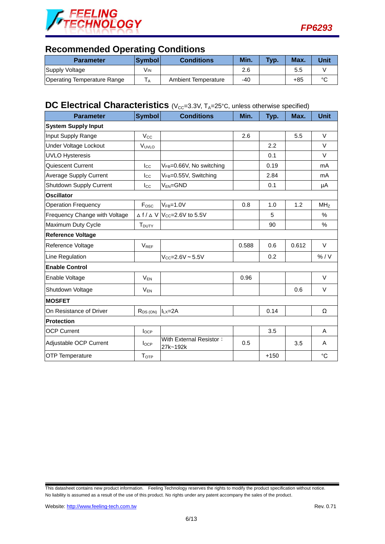



## **Recommended Operating Conditions**

| <b>Parameter</b>                   | ∣Svmbol l | <b>Conditions</b>   | Min. | Typ. | Max. | Unit   |
|------------------------------------|-----------|---------------------|------|------|------|--------|
| Supply Voltage                     | Vın       |                     | 2.6  |      | 5.5  |        |
| <b>Operating Temperature Range</b> | ΙA.       | Ambient Temperature | -40  |      | +85  | $\sim$ |

# **DC** Electrical Characteristics (V<sub>CC</sub>=3.3V, T<sub>A</sub>=25°C, unless otherwise specified)

| <b>Parameter</b>              | <b>Symbol</b>            | <b>Conditions</b>                                     | Min.  | Typ.   | Max.  | <b>Unit</b>     |
|-------------------------------|--------------------------|-------------------------------------------------------|-------|--------|-------|-----------------|
| <b>System Supply Input</b>    |                          |                                                       |       |        |       |                 |
| Input Supply Range            | $V_{\rm CC}$             |                                                       | 2.6   |        | 5.5   | $\vee$          |
| Under Voltage Lockout         | VUVLO                    |                                                       |       | 2.2    |       | $\vee$          |
| <b>UVLO Hysteresis</b>        |                          |                                                       |       | 0.1    |       | $\vee$          |
| Quiescent Current             | $_{\text{Lcc}}$          | VFB=0.66V, No switching                               |       | 0.19   |       | mA              |
| <b>Average Supply Current</b> | $_{\text{Lcc}}$          | V <sub>FB</sub> =0.55V, Switching                     |       | 2.84   |       | mA              |
| Shutdown Supply Current       | $_{\rm lcc}$             | $V_{EN} = GND$                                        |       | 0.1    |       | μA              |
| <b>Oscillator</b>             |                          |                                                       |       |        |       |                 |
| <b>Operation Frequency</b>    | Fosc                     | $VFB=1.0V$                                            | 0.8   | 1.0    | 1.2   | MH <sub>Z</sub> |
| Frequency Change with Voltage |                          | $\triangle$ f / $\triangle$ V $ V_{CC}=2.6$ V to 5.5V |       | 5      |       | $\%$            |
| Maximum Duty Cycle            | <b>T</b> <sub>DUTY</sub> |                                                       |       | 90     |       | $\%$            |
| <b>Reference Voltage</b>      |                          |                                                       |       |        |       |                 |
| Reference Voltage             | <b>V<sub>REF</sub></b>   |                                                       | 0.588 | 0.6    | 0.612 | $\vee$          |
| Line Regulation               |                          | $V_{CC} = 2.6V - 5.5V$                                |       | 0.2    |       | % / V           |
| <b>Enable Control</b>         |                          |                                                       |       |        |       |                 |
| Enable Voltage                | $V_{EN}$                 |                                                       | 0.96  |        |       | $\vee$          |
| Shutdown Voltage              | $V_{EN}$                 |                                                       |       |        | 0.6   | V               |
| <b>MOSFET</b>                 |                          |                                                       |       |        |       |                 |
| On Resistance of Driver       | $R_{DS(ON)}$             | $I_{LX}=2A$                                           |       | 0.14   |       | Ω               |
| <b>Protection</b>             |                          |                                                       |       |        |       |                 |
| <b>OCP Current</b>            | locp                     |                                                       |       | 3.5    |       | A               |
| Adjustable OCP Current        | $I_{OCP}$                | With External Resistor:<br>27k~192k                   | 0.5   |        | 3.5   | A               |
| <b>OTP Temperature</b>        | <b>TOTP</b>              |                                                       |       | $+150$ |       | $^{\circ}C$     |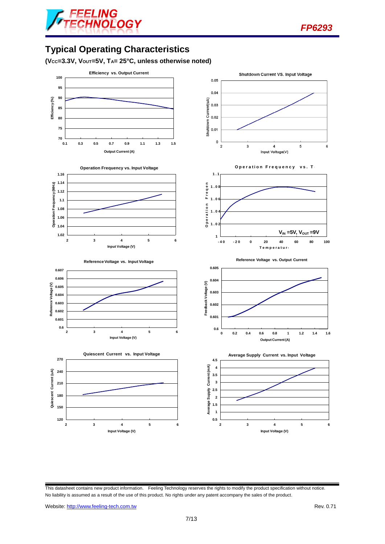

# **Typical Operating Characteristics**

**(VCC=3.3V, VOUT=5V, TA= 25°C, unless otherwise noted)**

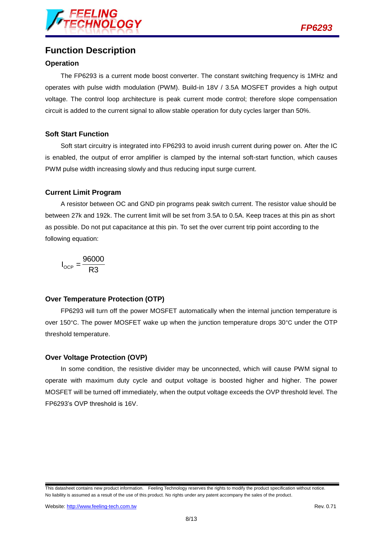

## **Function Description**

### **Operation**

The FP6293 is a current mode boost converter. The constant switching frequency is 1MHz and operates with pulse width modulation (PWM). Build-in 18V / 3.5A MOSFET provides a high output voltage. The control loop architecture is peak current mode control; therefore slope compensation circuit is added to the current signal to allow stable operation for duty cycles larger than 50%.

### **Soft Start Function**

Soft start circuitry is integrated into FP6293 to avoid inrush current during power on. After the IC is enabled, the output of error amplifier is clamped by the internal soft-start function, which causes PWM pulse width increasing slowly and thus reducing input surge current.

### **Current Limit Program**

A resistor between OC and GND pin programs peak switch current. The resistor value should be between 27k and 192k. The current limit will be set from 3.5A to 0.5A. Keep traces at this pin as short as possible. Do not put capacitance at this pin. To set the over current trip point according to the following equation:

$$
I_{\text{OCP}} = \frac{96000}{R3}
$$

### **Over Temperature Protection (OTP)**

FP6293 will turn off the power MOSFET automatically when the internal junction temperature is over 150°C. The power MOSFET wake up when the junction temperature drops 30°C under the OTP threshold temperature.

### **Over Voltage Protection (OVP)**

In some condition, the resistive divider may be unconnected, which will cause PWM signal to operate with maximum duty cycle and output voltage is boosted higher and higher. The power MOSFET will be turned off immediately, when the output voltage exceeds the OVP threshold level. The FP6293's OVP threshold is 16V.

This datasheet contains new product information. Feeling Technology reserves the rights to modify the product specification without notice. No liability is assumed as a result of the use of this product. No rights under any patent accompany the sales of the product.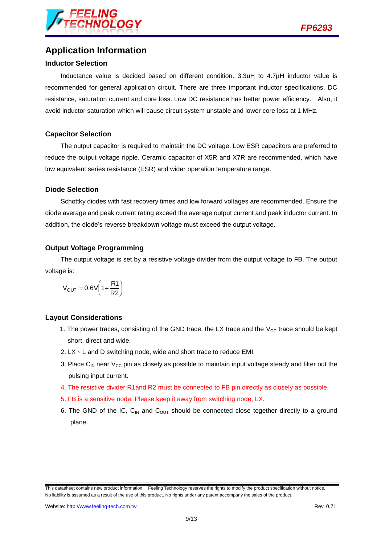

## **Application Information**

#### **Inductor Selection**

Inductance value is decided based on different condition. 3.3uH to 4.7µH inductor value is recommended for general application circuit. There are three important inductor specifications, DC resistance, saturation current and core loss. Low DC resistance has better power efficiency. Also, it avoid inductor saturation which will cause circuit system unstable and lower core loss at 1 MHz.

#### **Capacitor Selection**

The output capacitor is required to maintain the DC voltage. Low ESR capacitors are preferred to reduce the output voltage ripple. Ceramic capacitor of X5R and X7R are recommended, which have low equivalent series resistance (ESR) and wider operation temperature range.

#### **Diode Selection**

Schottky diodes with fast recovery times and low forward voltages are recommended. Ensure the diode average and peak current rating exceed the average output current and peak inductor current. In addition, the diode's reverse breakdown voltage must exceed the output voltage.

### **Output Voltage Programming**

The output voltage is set by a resistive voltage divider from the output voltage to FB. The output voltage is:

$$
V_{OUT} = 0.6V\left(1 + \frac{R1}{R2}\right)
$$

### **Layout Considerations**

- 1. The power traces, consisting of the GND trace, the LX trace and the  $V_{CC}$  trace should be kept short, direct and wide.
- 2.  $EX \cdot L$  and D switching node, wide and short trace to reduce EMI.
- 3. Place C<sub>IN</sub> near  $V_{CC}$  pin as closely as possible to maintain input voltage steady and filter out the pulsing input current.
- 4. The resistive divider R1and R2 must be connected to FB pin directly as closely as possible.
- 5. FB is a sensitive node. Please keep it away from switching node, LX.
- 6. The GND of the IC,  $C_{IN}$  and  $C_{OUT}$  should be connected close together directly to a ground plane.

This datasheet contains new product information. Feeling Technology reserves the rights to modify the product specification without notice. No liability is assumed as a result of the use of this product. No rights under any patent accompany the sales of the product.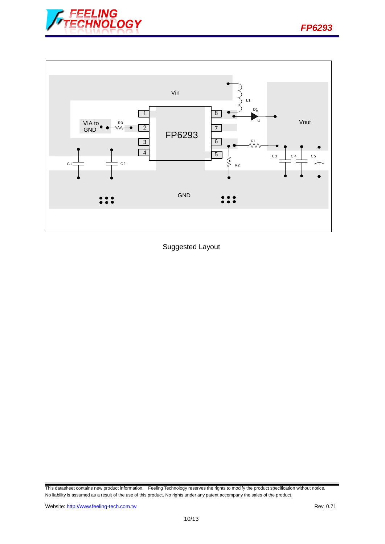



Suggested Layout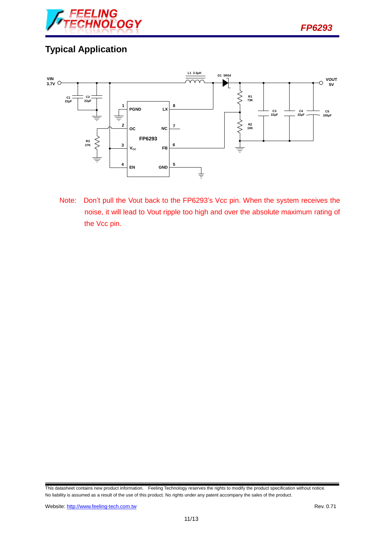

# **Typical Application**



Note: Don't pull the Vout back to the FP6293's Vcc pin. When the system receives the noise, it will lead to Vout ripple too high and over the absolute maximum rating of the Vcc pin.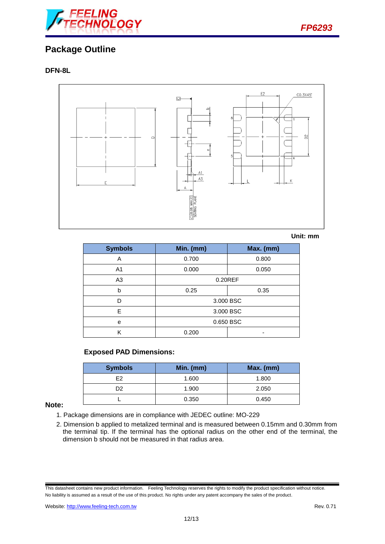

## **Package Outline**

### **DFN-8L**



#### **Unit: mm**

| <b>Symbols</b> | Min. (mm) | Max. (mm) |  |  |
|----------------|-----------|-----------|--|--|
| Α              | 0.700     | 0.800     |  |  |
| A <sub>1</sub> | 0.000     | 0.050     |  |  |
| A <sub>3</sub> | 0.20REF   |           |  |  |
| b              | 0.25      | 0.35      |  |  |
| D              | 3.000 BSC |           |  |  |
| E              | 3.000 BSC |           |  |  |
| e              | 0.650 BSC |           |  |  |
| Κ              | 0.200     |           |  |  |

#### **Exposed PAD Dimensions:**

| <b>Symbols</b> | Min. (mm) | Max. (mm) |
|----------------|-----------|-----------|
| F2             | 1.600     | 1.800     |
| D2             | 1.900     | 2.050     |
|                | 0.350     | 0.450     |

#### **Note:**

- 1. Package dimensions are in compliance with JEDEC outline: MO-229
- 2. Dimension b applied to metalized terminal and is measured between 0.15mm and 0.30mm from the terminal tip. If the terminal has the optional radius on the other end of the terminal, the dimension b should not be measured in that radius area.

This datasheet contains new product information. Feeling Technology reserves the rights to modify the product specification without notice. No liability is assumed as a result of the use of this product. No rights under any patent accompany the sales of the product.